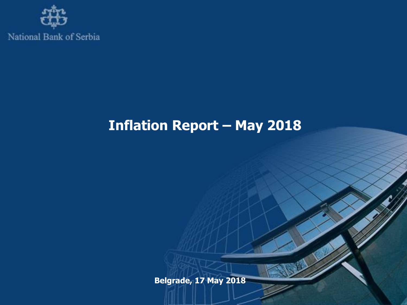

National Bank of Serbia

## **Inflation Report – May 2018**

**Belgrade, 17 May 2018**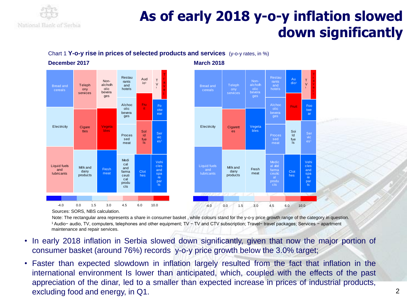

# **As of early 2018 y-o-y inflation slowed down significantly**

#### Chart 1 **Y-o-y rise in prices of selected products and services** (y-o-y rates, in %)

**December 2017 March 2018**





Sources: SORS, NBS calculation.

Note: The rectangular area represents a share in consumer basket , while colours stand for the y-o-y price growth range of the category in question. <sup>1</sup> Audio− audio, TV, computers, telephones and other equipment; TV − TV and CTV subscription; Travel− travel packages; Services − apartment maintenance and repair services.

- In early 2018 inflation in Serbia slowed down significantly, given that now the major portion of consumer basket (around 76%) records y-o-y price growth below the 3.0% target;
- Faster than expected slowdown in inflation largely resulted from the fact that inflation in the international environment Is lower than anticipated, which, coupled with the effects of the past appreciation of the dinar, led to a smaller than expected increase in prices of industrial products, excluding food and energy, in Q1.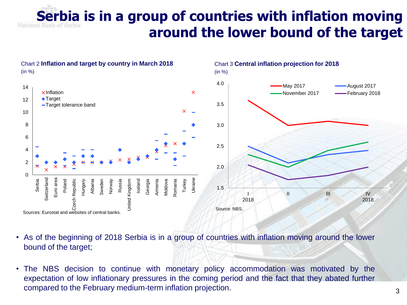# **Serbia is in a group of countries with inflation moving around the lower bound of the target**



- As of the beginning of 2018 Serbia is in a group of countries with inflation moving around the lower bound of the target;
- The NBS decision to continue with monetary policy accommodation was motivated by the expectation of low inflationary pressures in the coming period and the fact that they abated further compared to the February medium-term inflation projection.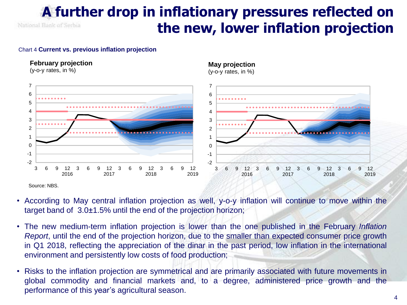### **A further drop in inflationary pressures reflected on the new, lower inflation projection** National Bank of Serbia

#### Chart 4 **Current vs. previous inflation projection**

### **February projection**

(y-o-y rates, in %)

#### **May projection**

(y-o-y rates, in %)



Source: NBS.

- According to May central inflation projection as well, y-o-y inflation will continue to move within the target band of 3.0±1.5% until the end of the projection horizon;
- The new medium-term inflation projection is lower than the one published in the February *Inflation Report*, until the end of the projection horizon, due to the smaller than expected consumer price growth in Q1 2018, reflecting the appreciation of the dinar in the past period, low inflation in the international environment and persistently low costs of food production;
- Risks to the inflation projection are symmetrical and are primarily associated with future movements in global commodity and financial markets and, to a degree, administered price growth and the performance of this year's agricultural season.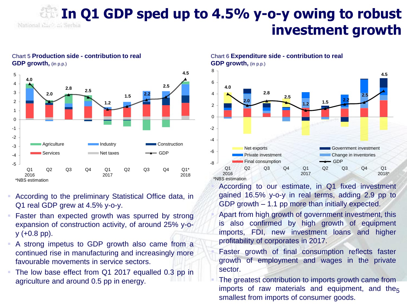### **In Q1 GDP sped up to 4.5% y-o-y owing to robust**  National Napk af Serbia **investment growth**



### Chart 5 **Production side - contribution to real GDP growth,** (in p.p.)

- According to the preliminary Statistical Office data, in Q1 real GDP grew at 4.5% y-o-y.
- Faster than expected growth was spurred by strong expansion of construction activity, of around 25% y-o $y$  (+0.8 pp).
- A strong impetus to GDP growth also came from a continued rise in manufacturing and increasingly more favourable movements in service sectors.
- The low base effect from Q1 2017 equalled 0.3 pp in agriculture and around 0.5 pp in energy.

Chart 6 **Expenditure side - contribution to real GDP growth, (in p.p.)** 



 According to our estimate, in Q1 fixed investment gained 16.5% y-o-y in real terms, adding 2.9 pp to GDP growth – 1.1 pp more than initially expected.

- Apart from high growth of government investment, this is also confirmed by high growth of equipment imports, FDI, new investment loans and higher profitability of corporates in 2017.
- Faster growth of final consumption reflects faster growth of employment and wages in the private sector.
- imports of raw materials and equipment, and the<sub>5</sub> The greatest contribution to imports growth came from smallest from imports of consumer goods.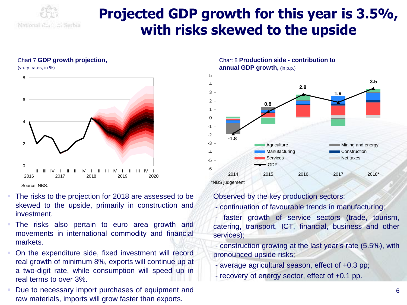

### **Projected GDP growth for this year is 3.5%, with risks skewed to the upside**

#### Chart 7 **GDP growth projection,**

(y-o-y rates, in %)



Source: NBS.

- The risks to the projection for 2018 are assessed to be skewed to the upside, primarily in construction and investment.
- The risks also pertain to euro area growth and movements in international commodity and financial markets.
- On the expenditure side, fixed investment will record real growth of minimum 8%, exports will continue up at a two-digit rate, while consumption will speed up in real terms to over 3%.
- Due to necessary import purchases of equipment and raw materials, imports will grow faster than exports.

Chart 8 **Production side - contribution to annual GDP growth,** (in p.p.)



Observed by the key production sectors:

- continuation of favourable trends in manufacturing;
- faster growth of service sectors (trade, tourism, catering, transport, ICT, financial, business and other services);
- construction growing at the last year's rate (5.5%), with pronounced upside risks;
- average agricultural season, effect of +0.3 pp;
- recovery of energy sector, effect of +0.1 pp.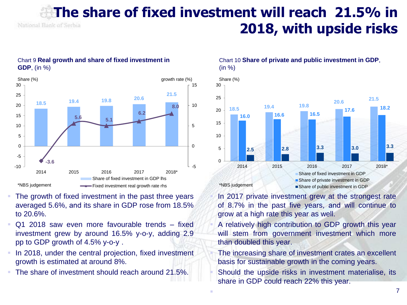### **The share of fixed investment will reach 21.5% in**  National Bank of Serbia **2018, with upside risks**



### Chart 9 **Real growth and share of fixed investment in GDP**, (in %)

- The growth of fixed investment in the past three years averaged 5.6%, аnd its share in GDP rose from 18.5% to 20.6%.
- Q1 2018 saw even more favourable trends fixed investment grew by around 16.5% y-o-y, adding 2.9 pp to GDP growth of 4.5% y-o-y .
- In 2018, under the central projection, fixed investment growth is estimated at around 8%.
- The share of investment should reach around 21.5%.

Chart 10 **Share of private and public investment in GDP**,  $(in %)$ 



 In 2017 private investment grew at the strongest rate of 8.7% in the past five years, аnd will continue to grow at a high rate this year as well.

 A relatively high contribution to GDP growth this year will stem from government investment which more than doubled this year.

 The increasing share of investment crates an excellent basis for sustainable growth in the coming years.

 Should the upside risks in investment materialise, its share in GDP could reach 22% this year.

F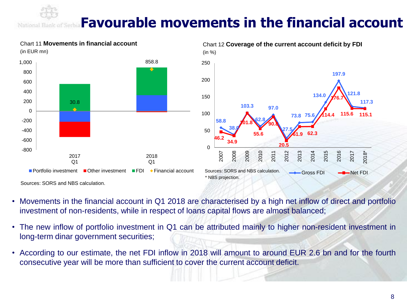## **Favourable movements in the financial account**



National B

- Movements in the financial account in Q1 2018 are characterised by a high net inflow of direct and portfolio investment of non-residents, while in respect of loans capital flows are almost balanced;
- The new inflow of portfolio investment in Q1 can be attributed mainly to higher non-resident investment in long-term dinar government securities;
- According to our estimate, the net FDI inflow in 2018 will amount to around EUR 2.6 bn and for the fourth consecutive year will be more than sufficient to cover the current account deficit.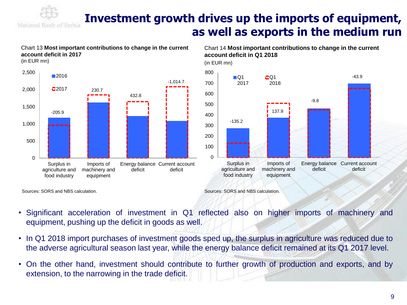

### **Investment growth drives up the imports of equipment, as well as exports in the medium run**

#### **account deficit in Q1 2018** (in EUR mn) Chart 13 **Most important contributions to change in the current account deficit in 2017** (in EUR mn) 0 100 200 300 400 500 600 700 800 Surplus in Imports of  $\blacksquare$ 2017  $CO1$ 2018 137.9 -135.2  $\Omega$ 500 1,000 1,500 2,000 2,500 Surplus in Imports of Energy balance Current account ■2016  $22017$  230.7 432.8 -205.9 -1,014.7

deficit

Chart 14 **Most important contributions to change in the current** 



agriculture and food industry

machinery and equipment

deficit

Sources: SORS and NBS calculation.

- Significant acceleration of investment in Q1 reflected also on higher imports of machinery and equipment, pushing up the deficit in goods as well.
- In Q1 2018 import purchases of investment goods sped up, the surplus in agriculture was reduced due to the adverse agricultural season last year, while the energy balance deficit remained at its Q1 2017 level.
- On the other hand, investment should contribute to further growth of production and exports, and by extension, to the narrowing in the trade deficit.

Sources: SORS and NBS calculation.